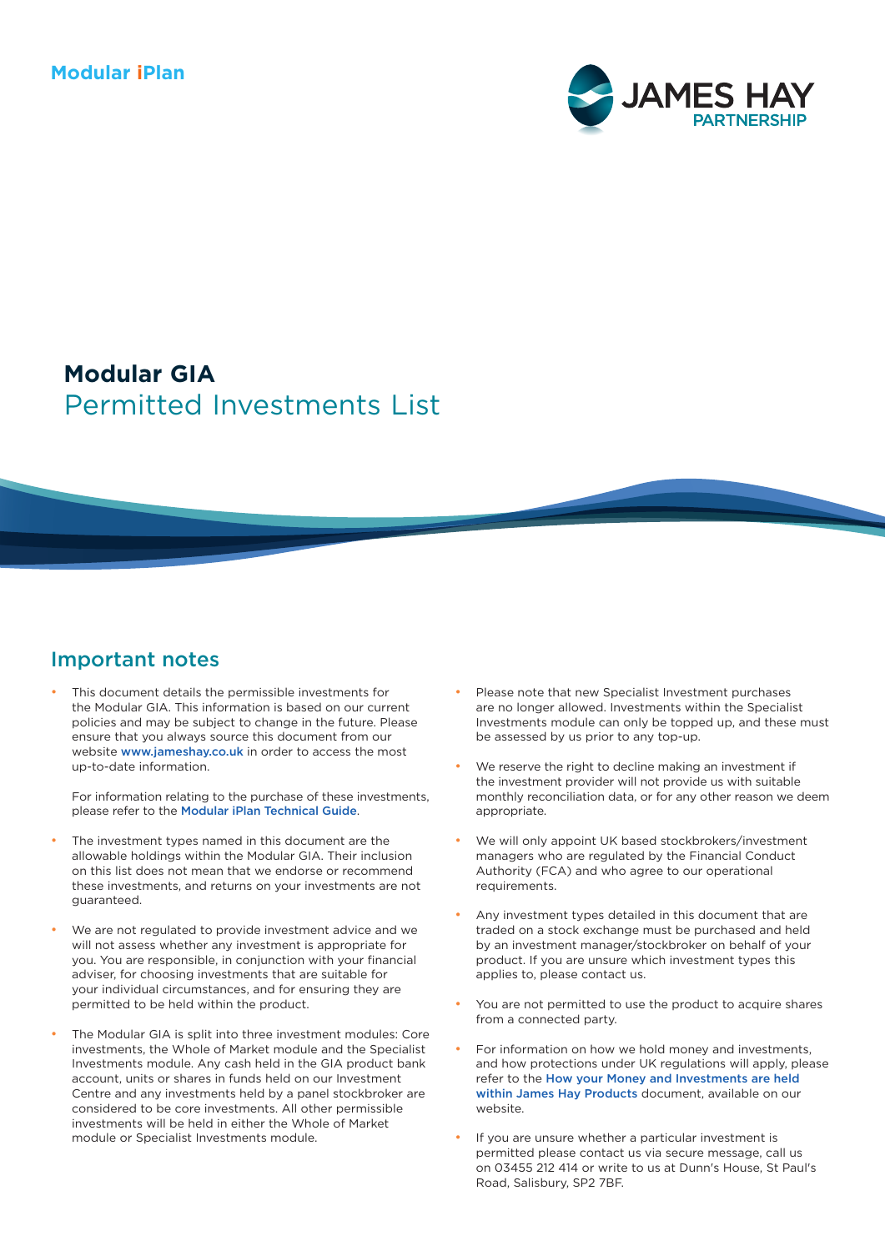#### **Modular iPlan**



# Permitted Investments List **Modular GIA**

#### Important notes

This document details the permissible investments for the Modular GIA. This information is based on our current policies and may be subject to change in the future. Please ensure that you always source this document from our website [www.jameshay.co.uk](http://www.jameshay.co.uk) in order to access the most up-to-date information.

For information relating to the purchase of these investments, please refer to the [Modular iPlan Technical Guide](https://www.jameshay.co.uk/OldCMS/DocumentView.aspx?DocumentID=2992).

- The investment types named in this document are the allowable holdings within the Modular GIA. Their inclusion on this list does not mean that we endorse or recommend these investments, and returns on your investments are not guaranteed.
- We are not regulated to provide investment advice and we will not assess whether any investment is appropriate for you. You are responsible, in conjunction with your financial adviser, for choosing investments that are suitable for your individual circumstances, and for ensuring they are permitted to be held within the product.
- The Modular GIA is split into three investment modules: Core investments, the Whole of Market module and the Specialist Investments module. Any cash held in the GIA product bank account, units or shares in funds held on our Investment Centre and any investments held by a panel stockbroker are considered to be core investments. All other permissible investments will be held in either the Whole of Market module or Specialist Investments module.
- Please note that new Specialist Investment purchases are no longer allowed. Investments within the Specialist Investments module can only be topped up, and these must be assessed by us prior to any top-up.
- We reserve the right to decline making an investment if the investment provider will not provide us with suitable monthly reconciliation data, or for any other reason we deem appropriate.
- We will only appoint UK based stockbrokers/investment managers who are regulated by the Financial Conduct Authority (FCA) and who agree to our operational requirements.
- Any investment types detailed in this document that are traded on a stock exchange must be purchased and held by an investment manager/stockbroker on behalf of your product. If you are unsure which investment types this applies to, please contact us.
- You are not permitted to use the product to acquire shares from a connected party.
- For information on how we hold money and investments, and how protections under UK regulations will apply, please refer to the [How your Money and Investments are held](https://www.jameshay.co.uk/OldCMS/DocumentView.aspx?DocumentID=3024)  [within James Hay Products](https://www.jameshay.co.uk/OldCMS/DocumentView.aspx?DocumentID=3024) document, available on our website.
- If you are unsure whether a particular investment is permitted please contact us via secure message, call us on 03455 212 414 or write to us at Dunn's House, St Paul's Road, Salisbury, SP2 7BF.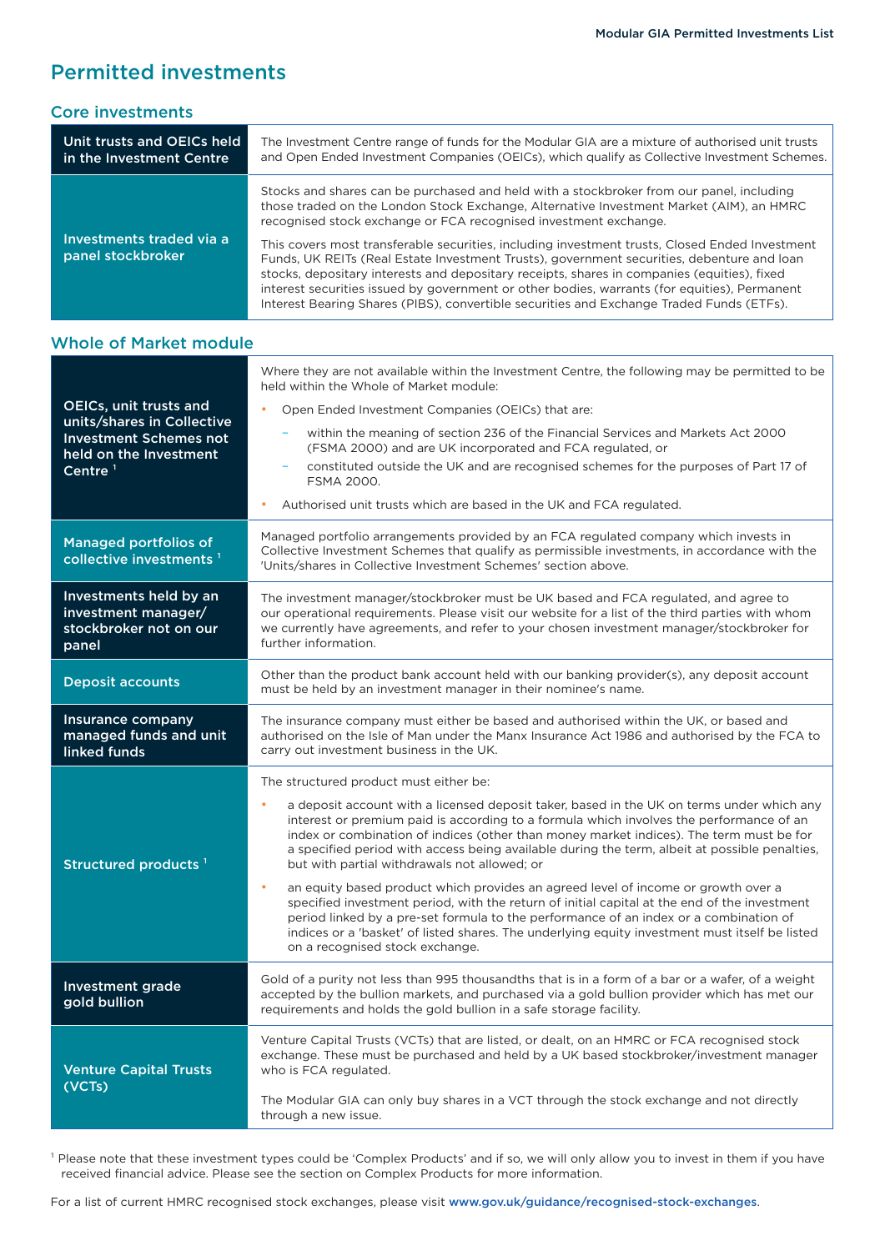## Permitted investments

| Unit trusts and OEICs held<br>in the Investment Centre | The Investment Centre range of funds for the Modular GIA are a mixture of authorised unit trusts<br>and Open Ended Investment Companies (OEICs), which qualify as Collective Investment Schemes.                                                                                                                                                                                                                                                                                        |
|--------------------------------------------------------|-----------------------------------------------------------------------------------------------------------------------------------------------------------------------------------------------------------------------------------------------------------------------------------------------------------------------------------------------------------------------------------------------------------------------------------------------------------------------------------------|
|                                                        | Stocks and shares can be purchased and held with a stockbroker from our panel, including<br>those traded on the London Stock Exchange, Alternative Investment Market (AIM), an HMRC<br>recognised stock exchange or FCA recognised investment exchange.                                                                                                                                                                                                                                 |
| Investments traded via a<br>panel stockbroker          | This covers most transferable securities, including investment trusts, Closed Ended Investment<br>Funds, UK REITs (Real Estate Investment Trusts), government securities, debenture and loan<br>stocks, depositary interests and depositary receipts, shares in companies (equities), fixed<br>interest securities issued by government or other bodies, warrants (for equities), Permanent<br>Interest Bearing Shares (PIBS), convertible securities and Exchange Traded Funds (ETFs). |

| <b>Whole of Market module</b>                                                                                                          |                                                                                                                                                                                                                                                                                                                                                                                                                                                                                                                                                                                                                                                                                                                                                                                                                                                                                                         |  |  |
|----------------------------------------------------------------------------------------------------------------------------------------|---------------------------------------------------------------------------------------------------------------------------------------------------------------------------------------------------------------------------------------------------------------------------------------------------------------------------------------------------------------------------------------------------------------------------------------------------------------------------------------------------------------------------------------------------------------------------------------------------------------------------------------------------------------------------------------------------------------------------------------------------------------------------------------------------------------------------------------------------------------------------------------------------------|--|--|
| OEICs, unit trusts and<br>units/shares in Collective<br><b>Investment Schemes not</b><br>held on the Investment<br>Centre <sup>1</sup> | Where they are not available within the Investment Centre, the following may be permitted to be<br>held within the Whole of Market module:<br>Open Ended Investment Companies (OEICs) that are:<br>within the meaning of section 236 of the Financial Services and Markets Act 2000<br>۰<br>(FSMA 2000) and are UK incorporated and FCA regulated, or<br>constituted outside the UK and are recognised schemes for the purposes of Part 17 of<br>FSMA 2000.<br>Authorised unit trusts which are based in the UK and FCA regulated.<br>٠                                                                                                                                                                                                                                                                                                                                                                 |  |  |
| <b>Managed portfolios of</b><br>collective investments <sup>1</sup>                                                                    | Managed portfolio arrangements provided by an FCA regulated company which invests in<br>Collective Investment Schemes that qualify as permissible investments, in accordance with the<br>'Units/shares in Collective Investment Schemes' section above.                                                                                                                                                                                                                                                                                                                                                                                                                                                                                                                                                                                                                                                 |  |  |
| Investments held by an<br>investment manager/<br>stockbroker not on our<br>panel                                                       | The investment manager/stockbroker must be UK based and FCA regulated, and agree to<br>our operational requirements. Please visit our website for a list of the third parties with whom<br>we currently have agreements, and refer to your chosen investment manager/stockbroker for<br>further information.                                                                                                                                                                                                                                                                                                                                                                                                                                                                                                                                                                                            |  |  |
| <b>Deposit accounts</b>                                                                                                                | Other than the product bank account held with our banking provider(s), any deposit account<br>must be held by an investment manager in their nominee's name.                                                                                                                                                                                                                                                                                                                                                                                                                                                                                                                                                                                                                                                                                                                                            |  |  |
| Insurance company<br>managed funds and unit<br>linked funds                                                                            | The insurance company must either be based and authorised within the UK, or based and<br>authorised on the Isle of Man under the Manx Insurance Act 1986 and authorised by the FCA to<br>carry out investment business in the UK.                                                                                                                                                                                                                                                                                                                                                                                                                                                                                                                                                                                                                                                                       |  |  |
| Structured products <sup>1</sup>                                                                                                       | The structured product must either be:<br>a deposit account with a licensed deposit taker, based in the UK on terms under which any<br>٠<br>interest or premium paid is according to a formula which involves the performance of an<br>index or combination of indices (other than money market indices). The term must be for<br>a specified period with access being available during the term, albeit at possible penalties,<br>but with partial withdrawals not allowed; or<br>an equity based product which provides an agreed level of income or growth over a<br>٠<br>specified investment period, with the return of initial capital at the end of the investment<br>period linked by a pre-set formula to the performance of an index or a combination of<br>indices or a 'basket' of listed shares. The underlying equity investment must itself be listed<br>on a recognised stock exchange. |  |  |
| Investment grade<br>gold bullion                                                                                                       | Gold of a purity not less than 995 thousandths that is in a form of a bar or a wafer, of a weight<br>accepted by the bullion markets, and purchased via a gold bullion provider which has met our<br>requirements and holds the gold bullion in a safe storage facility.                                                                                                                                                                                                                                                                                                                                                                                                                                                                                                                                                                                                                                |  |  |
| <b>Venture Capital Trusts</b><br>(VCTs)                                                                                                | Venture Capital Trusts (VCTs) that are listed, or dealt, on an HMRC or FCA recognised stock<br>exchange. These must be purchased and held by a UK based stockbroker/investment manager<br>who is FCA regulated.<br>The Modular GIA can only buy shares in a VCT through the stock exchange and not directly<br>through a new issue.                                                                                                                                                                                                                                                                                                                                                                                                                                                                                                                                                                     |  |  |
|                                                                                                                                        |                                                                                                                                                                                                                                                                                                                                                                                                                                                                                                                                                                                                                                                                                                                                                                                                                                                                                                         |  |  |

<sup>1</sup> Please note that these investment types could be 'Complex Products' and if so, we will only allow you to invest in them if you have received financial advice. Please see the section on Complex Products for more information.

For a list of current HMRC recognised stock exchanges, please visit [www.gov.uk/guidance/recognised-stock-exchanges](http://www.gov.uk/guidance/recognised-stock-exchanges).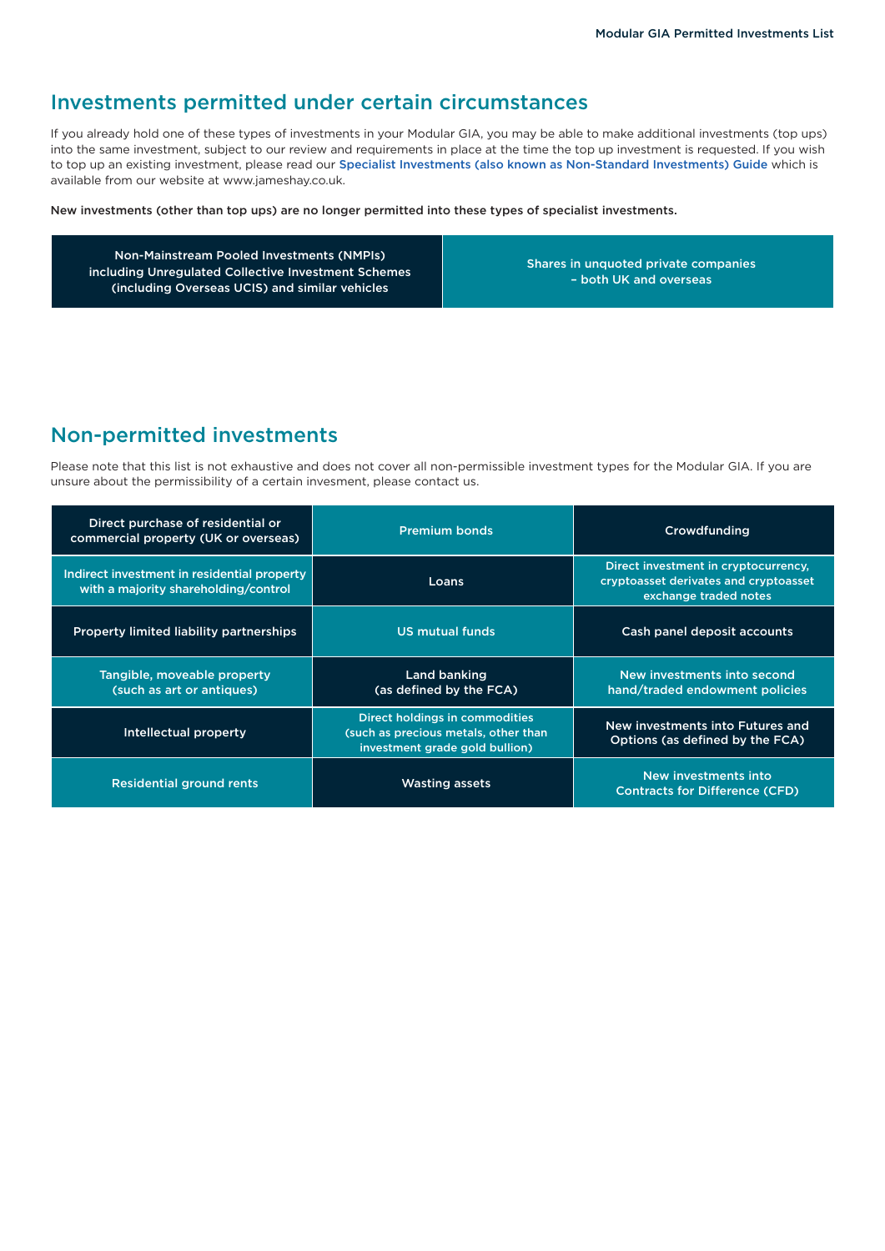# Investments permitted under certain circumstances

If you already hold one of these types of investments in your Modular GIA, you may be able to make additional investments (top ups) into the same investment, subject to our review and requirements in place at the time the top up investment is requested. If you wish to top up an existing investment, please read our [Specialist Investments \(also known as Non-Standard Investments\) Guide](https://www.jameshay.co.uk/OldCMS/DocumentView.aspx?DocumentID=3150) which is available from our website at [www.jameshay.co.uk](http://www.jameshay.co.uk).

New investments (other than top ups) are no longer permitted into these types of specialist investments.

Non-Mainstream Pooled Investments (NMPIs) including Unregulated Collective Investment Schemes (including Overseas UCIS) and similar vehicles

Shares in unquoted private companies – both UK and overseas

## Non-permitted investments

Please note that this list is not exhaustive and does not cover all non-permissible investment types for the Modular GIA. If you are unsure about the permissibility of a certain invesment, please contact us.

| Direct purchase of residential or<br>commercial property (UK or overseas)           | <b>Premium bonds</b>                                                                                     | Crowdfunding                                                                                           |
|-------------------------------------------------------------------------------------|----------------------------------------------------------------------------------------------------------|--------------------------------------------------------------------------------------------------------|
| Indirect investment in residential property<br>with a majority shareholding/control | Loans                                                                                                    | Direct investment in cryptocurrency,<br>cryptoasset derivates and cryptoasset<br>exchange traded notes |
| Property limited liability partnerships                                             | <b>US mutual funds</b>                                                                                   | Cash panel deposit accounts                                                                            |
| Tangible, moveable property<br>(such as art or antiques)                            | <b>Land banking</b><br>(as defined by the FCA)                                                           | New investments into second<br>hand/traded endowment policies                                          |
| Intellectual property                                                               | Direct holdings in commodities<br>(such as precious metals, other than<br>investment grade gold bullion) | New investments into Futures and<br>Options (as defined by the FCA)                                    |
| <b>Residential ground rents</b>                                                     | <b>Wasting assets</b>                                                                                    | New investments into<br><b>Contracts for Difference (CFD)</b>                                          |